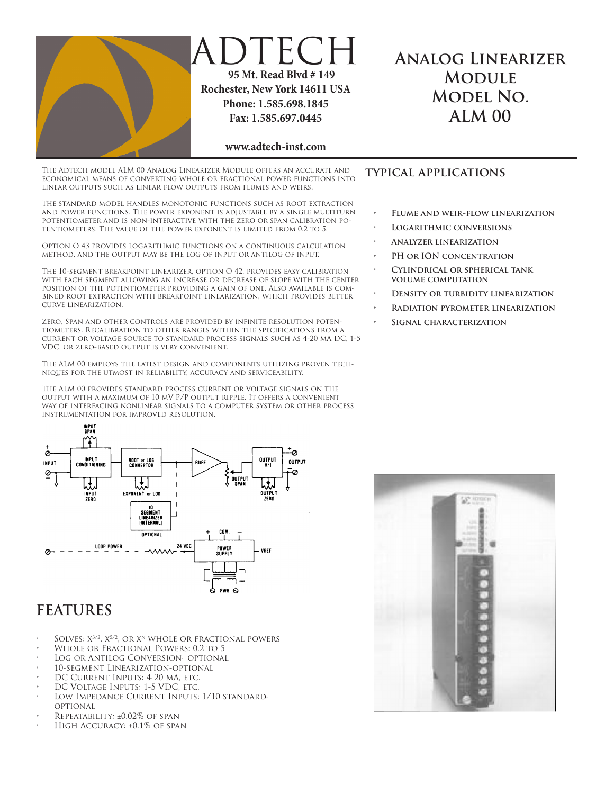

## DTECH  **95 Mt. Read Blvd # 149 Rochester, New York 14611 USA Phone: 1.585.698.1845 Fax: 1.585.697.0445**

#### **www.adtech-inst.com**

The Adtech model ALM 00 Analog Linearizer Module offers an accurate and economical means of converting whole or fractional power functions into linear outputs such as linear flow outputs from flumes and weirs.

The standard model handles monotonic functions such as root extraction and power functions. The power exponent is adjustable by a single multiturn potentiometer and is non-interactive with the zero or span calibration potentiometers. The value of the power exponent is limited from 0.2 to 5.

Option O 43 provides logarithmic functions on a continuous calculation method, and the output may be the log of input or antilog of input.

The 10-segment breakpoint linearizer, option O 42, provides easy calibration with each segment allowing an increase or decrease of slope with the center position of the potentiometer providing a gain of one. Also available is combined root extraction with breakpoint linearization, which provides better curve linearization.

Zero, Span and other controls are provided by infinite resolution potentiometers. Recalibration to other ranges within the specifications from a current or voltage source to standard process signals such as 4-20 mA DC, 1-5 VDC, or zero-based output is very convenient.

The ALM 00 employs the latest design and components utilizing proven techniques for the utmost in reliability, accuracy and serviceability.

The ALM 00 provides standard process current or voltage signals on the output with a maximum of 10 mV P/P output ripple. It offers a convenient way of interfacing nonlinear signals to a computer system or other process instrumentation for improved resolution.



# **FEATURES**

- SOLVES:  $X^{3/2}$ ,  $X^{5/2}$ , OR  $X^N$  WHOLE OR FRACTIONAL POWERS
- WHOLE OR FRACTIONAL POWERS: 0.2 TO 5
- LOG OR ANTILOG CONVERSION- OPTIONAL
- 10-SEGMENT LINEARIZATION-OPTIONAL
- DC CURRENT INPUTS: 4-20 MA, ETC.
- DC VOLTAGE INPUTS: 1-5 VDC, ETC.
- LOW IMPEDANCE CURRENT INPUTS: 1/10 STANDARDoptional
- REPEATABILITY: ±0.02% OF SPAN
- HIGH ACCURACY: ±0.1% OF SPAN

### **typical applications**

**FLUME AND WEIR-FLOW LINEARIZATION** 

**Analog Linearizer Module Model No. ALM 00**

- **LOGARITHMIC CONVERSIONS**
- **• Analyzer linearization**
- **PH OR ION CONCENTRATION**
- **CYLINDRICAL OR SPHERICAL TANK volume computation**
- **DENSITY OR TURBIDITY LINEARIZATION**
- **• Radiation pyrometer linearization**
- **SIGNAL CHARACTERIZATION**